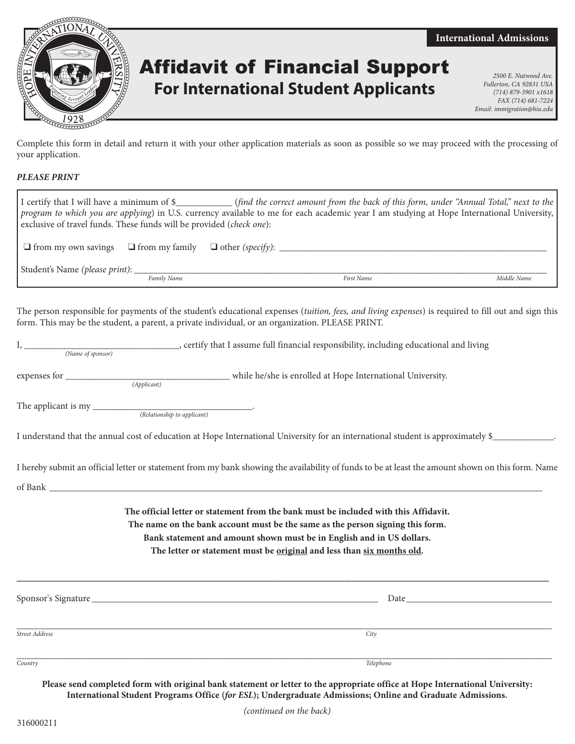

## Affidavit of Financial Support **Affidavit of Financial Support For International Student Applicants**

*Fullerton, CA 92831 USA (714) 879-3901 x1618 FAX (714) 681-7224 Email: immigration@hiu.edu*

**International Admissions**

Complete this form in detail and return it with your other application materials as soon as possible so we may proceed with the processing of your application.

## *PLEASE PRINT*

| exclusive of travel funds. These funds will be provided ( <i>check one</i> ): |             | I certify that I will have a minimum of $\frac{1}{2}$ (find the correct amount from the back of this form, under "Annual Total," next to the<br>program to which you are applying) in U.S. currency available to me for each academic year I am studying at Hope International University, |             |
|-------------------------------------------------------------------------------|-------------|--------------------------------------------------------------------------------------------------------------------------------------------------------------------------------------------------------------------------------------------------------------------------------------------|-------------|
|                                                                               |             |                                                                                                                                                                                                                                                                                            |             |
|                                                                               | Family Name | First Name                                                                                                                                                                                                                                                                                 | Middle Name |
|                                                                               |             | The person responsible for payments of the student's educational expenses (tuition, fees, and living expenses) is required to fill out and sign this<br>form. This may be the student, a parent, a private individual, or an organization. PLEASE PRINT.                                   |             |

|                   | , certify that I assume full financial responsibility, including educational and living |
|-------------------|-----------------------------------------------------------------------------------------|
| (Name of sponsor) |                                                                                         |

expenses for \_\_\_\_\_\_\_\_\_\_\_\_\_\_\_\_\_\_\_\_\_\_\_\_\_\_\_\_\_\_\_\_\_\_\_ while he/she is enrolled at Hope International University. *(Applicant)*

The applicant is my

*(Relationship to applicant)*

I understand that the annual cost of education at Hope International University for an international student is approximately \$\_

I hereby submit an official letter or statement from my bank showing the availability of funds to be at least the amount shown on this form. Name of Bank \_\_\_\_\_\_\_\_\_\_\_\_\_\_\_\_\_\_\_\_\_\_\_\_\_\_\_\_\_\_\_\_\_\_\_\_\_\_\_\_\_\_\_\_\_\_\_\_\_\_\_\_\_\_\_\_\_\_\_\_\_\_\_\_\_\_\_\_\_\_\_\_\_\_\_\_\_\_\_\_\_\_\_\_\_\_\_\_\_\_\_\_\_\_\_\_\_\_\_\_\_\_\_\_\_

> **The official letter or statement from the bank must be included with this Affidavit. The name on the bank account must be the same as the person signing this form. Bank statement and amount shown must be in English and in US dollars. The letter or statement must be original and less than six months old.**

| Sponsor's Signature | Date      |  |
|---------------------|-----------|--|
|                     |           |  |
| Street Address      | City      |  |
|                     |           |  |
| Country             | Telephone |  |

**\_\_\_\_\_\_\_\_\_\_\_\_\_\_\_\_\_\_\_\_\_\_\_\_\_\_\_\_\_\_\_\_\_\_\_\_\_\_\_\_\_\_\_\_\_\_\_\_\_\_\_\_\_\_\_\_\_\_\_\_\_\_\_\_\_\_\_\_\_\_\_\_\_\_\_\_\_\_\_\_\_**

**Please send completed form with original bank statement or letter to the appropriate office at Hope International University: International Student Programs Office (***for ESL***); Undergraduate Admissions; Online and Graduate Admissions.**